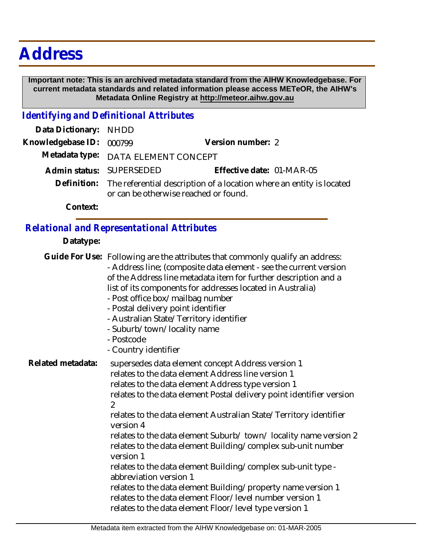# **Address**

 **Important note: This is an archived metadata standard from the AIHW Knowledgebase. For current metadata standards and related information please access METeOR, the AIHW's Metadata Online Registry at http://meteor.aihw.gov.au**

### *Identifying and Definitional Attributes*

| Data Dictionary: NHDD    |                                                                                                                           |                           |  |
|--------------------------|---------------------------------------------------------------------------------------------------------------------------|---------------------------|--|
| Knowledgebase ID: 000799 |                                                                                                                           | Version number: 2         |  |
|                          | Metadata type: DATA ELEMENT CONCEPT                                                                                       |                           |  |
|                          | Admin status: SUPERSEDED                                                                                                  | Effective date: 01-MAR-05 |  |
|                          | Definition: The referential description of a location where an entity is located<br>or can be otherwise reached or found. |                           |  |
| Context:                 |                                                                                                                           |                           |  |

## *Relational and Representational Attributes*

#### **Datatype:**

|                   | Guide For Use: Following are the attributes that commonly qualify an address:<br>- Address line; (composite data element - see the current version<br>of the Address line metadata item for further description and a<br>list of its components for addresses located in Australia)<br>- Post office box/mailbag number<br>- Postal delivery point identifier<br>- Australian State/Territory identifier<br>- Suburb/town/locality name<br>- Postcode<br>- Country identifier                                                                                                                                                                                                                                                                                |
|-------------------|--------------------------------------------------------------------------------------------------------------------------------------------------------------------------------------------------------------------------------------------------------------------------------------------------------------------------------------------------------------------------------------------------------------------------------------------------------------------------------------------------------------------------------------------------------------------------------------------------------------------------------------------------------------------------------------------------------------------------------------------------------------|
| Related metadata: | supersedes data element concept Address version 1<br>relates to the data element Address line version 1<br>relates to the data element Address type version 1<br>relates to the data element Postal delivery point identifier version<br>2<br>relates to the data element Australian State/Territory identifier<br>version 4<br>relates to the data element Suburb/town/locality name version 2<br>relates to the data element Building/complex sub-unit number<br>version 1<br>relates to the data element Building/complex sub-unit type -<br>abbreviation version 1<br>relates to the data element Building/property name version 1<br>relates to the data element Floor/level number version 1<br>relates to the data element Floor/level type version 1 |